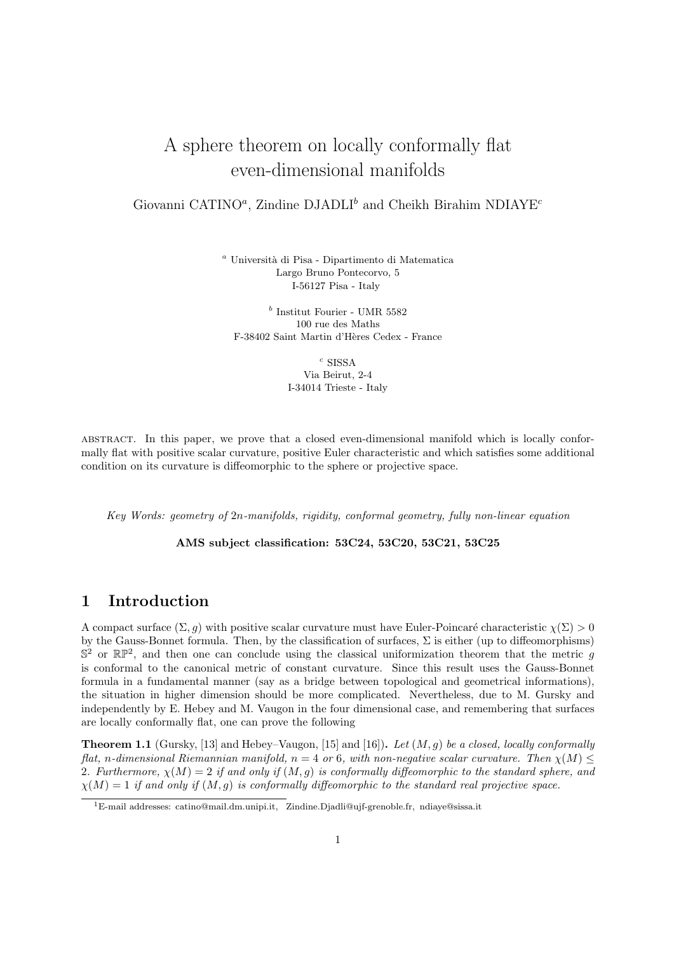# A sphere theorem on locally conformally flat even-dimensional manifolds

#### Giovanni CATINO<sup>a</sup>, Zindine DJADLI<sup>b</sup> and Cheikh Birahim NDIAYE<sup>c</sup>

<sup>a</sup> Università di Pisa - Dipartimento di Matematica Largo Bruno Pontecorvo, 5 I-56127 Pisa - Italy

 $^b$  Institut Fourier - UMR 5582 100 rue des Maths F-38402 Saint Martin d'H`eres Cedex - France

 $c$  SISSA

Via Beirut, 2-4 I-34014 Trieste - Italy

abstract. In this paper, we prove that a closed even-dimensional manifold which is locally conformally flat with positive scalar curvature, positive Euler characteristic and which satisfies some additional condition on its curvature is diffeomorphic to the sphere or projective space.

Key Words: geometry of 2n-manifolds, rigidity, conformal geometry, fully non-linear equation

AMS subject classification: 53C24, 53C20, 53C21, 53C25

## 1 Introduction

A compact surface  $(\Sigma, q)$  with positive scalar curvature must have Euler-Poincaré characteristic  $\chi(\Sigma) > 0$ by the Gauss-Bonnet formula. Then, by the classification of surfaces,  $\Sigma$  is either (up to diffeomorphisms)  $\mathbb{S}^2$  or  $\mathbb{RP}^2$ , and then one can conclude using the classical uniformization theorem that the metric g is conformal to the canonical metric of constant curvature. Since this result uses the Gauss-Bonnet formula in a fundamental manner (say as a bridge between topological and geometrical informations), the situation in higher dimension should be more complicated. Nevertheless, due to M. Gursky and independently by E. Hebey and M. Vaugon in the four dimensional case, and remembering that surfaces are locally conformally flat, one can prove the following

**Theorem 1.1** (Gursky, [13] and Hebey–Vaugon, [15] and [16]). Let  $(M, g)$  be a closed, locally conformally flat, n-dimensional Riemannian manifold,  $n = 4$  or 6, with non-negative scalar curvature. Then  $\chi(M) \leq$ 2. Furthermore,  $\chi(M) = 2$  if and only if  $(M, g)$  is conformally diffeomorphic to the standard sphere, and  $\chi(M) = 1$  if and only if  $(M, g)$  is conformally diffeomorphic to the standard real projective space.

<sup>1</sup>E-mail addresses: catino@mail.dm.unipi.it, Zindine.Djadli@ujf-grenoble.fr, ndiaye@sissa.it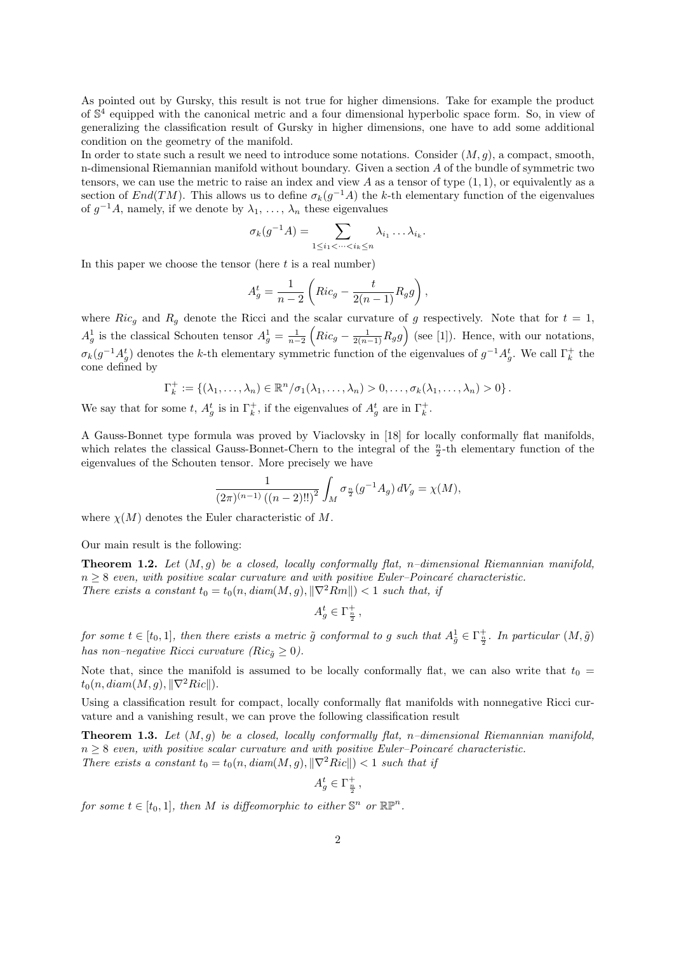As pointed out by Gursky, this result is not true for higher dimensions. Take for example the product of  $\mathbb{S}^4$  equipped with the canonical metric and a four dimensional hyperbolic space form. So, in view of generalizing the classification result of Gursky in higher dimensions, one have to add some additional condition on the geometry of the manifold.

In order to state such a result we need to introduce some notations. Consider  $(M, g)$ , a compact, smooth, n-dimensional Riemannian manifold without boundary. Given a section A of the bundle of symmetric two tensors, we can use the metric to raise an index and view  $A$  as a tensor of type  $(1, 1)$ , or equivalently as a section of  $End(TM)$ . This allows us to define  $\sigma_k(g^{-1}A)$  the k-th elementary function of the eigenvalues of  $g^{-1}A$ , namely, if we denote by  $\lambda_1, \ldots, \lambda_n$  these eigenvalues

$$
\sigma_k(g^{-1}A) = \sum_{1 \leq i_1 < \cdots < i_k \leq n} \lambda_{i_1} \ldots \lambda_{i_k}.
$$

In this paper we choose the tensor (here  $t$  is a real number)

$$
A_g^t = \frac{1}{n-2} \left( Ric_g - \frac{t}{2(n-1)} R_g g \right),
$$

where Ric<sub>g</sub> and R<sub>g</sub> denote the Ricci and the scalar curvature of g respectively. Note that for  $t = 1$ ,  $A_g^1$  is the classical Schouten tensor  $A_g^1 = \frac{1}{n-2} \left( Ric_g - \frac{1}{2(n-1)} R_g g \right)$  (see [1]). Hence, with our notations,  $\sigma_k(g^{-1}A_g^t)$  denotes the k-th elementary symmetric function of the eigenvalues of  $g^{-1}A_g^t$ . We call  $\Gamma_k^+$  the cone defined by

$$
\Gamma_k^+ := \{(\lambda_1,\ldots,\lambda_n) \in \mathbb{R}^n/\sigma_1(\lambda_1,\ldots,\lambda_n) > 0,\ldots,\sigma_k(\lambda_1,\ldots,\lambda_n) > 0\}.
$$

We say that for some t,  $A_g^t$  is in  $\Gamma_k^+$ , if the eigenvalues of  $A_g^t$  are in  $\Gamma_k^+$ .

A Gauss-Bonnet type formula was proved by Viaclovsky in [18] for locally conformally flat manifolds, which relates the classical Gauss-Bonnet-Chern to the integral of the  $\frac{n}{2}$ -th elementary function of the eigenvalues of the Schouten tensor. More precisely we have

$$
\frac{1}{(2\pi)^{(n-1)}((n-2)!!)^2} \int_M \sigma_{\frac{n}{2}}(g^{-1}A_g) dV_g = \chi(M),
$$

where  $\chi(M)$  denotes the Euler characteristic of M.

Our main result is the following:

**Theorem 1.2.** Let  $(M, q)$  be a closed, locally conformally flat, n–dimensional Riemannian manifold,  $n \geq 8$  even, with positive scalar curvature and with positive Euler–Poincaré characteristic. There exists a constant  $t_0 = t_0(n, diam(M, g), ||\nabla^2 Rm||) < 1$  such that, if

$$
A_g^t \in \Gamma_{\frac{n}{2}}^+,
$$

for some  $t \in [t_0,1]$ , then there exists a metric  $\tilde{g}$  conformal to g such that  $A^1_{\tilde{g}} \in \Gamma^+_{\frac{n}{2}}$ . In particular  $(M, \tilde{g})$ has non–negative Ricci curvature ( $Ric_{\tilde{g}} \geq 0$ ).

Note that, since the manifold is assumed to be locally conformally flat, we can also write that  $t_0 =$  $t_0(n, diam(M, g), \|\nabla^2 Ric\|).$ 

Using a classification result for compact, locally conformally flat manifolds with nonnegative Ricci curvature and a vanishing result, we can prove the following classification result

**Theorem 1.3.** Let  $(M, g)$  be a closed, locally conformally flat, n–dimensional Riemannian manifold,  $n \geq 8$  even, with positive scalar curvature and with positive Euler–Poincaré characteristic. There exists a constant  $t_0 = t_0(n, diam(M, g), ||\nabla^2 Ric||) < 1$  such that if

$$
A_g^t \in \Gamma_{\frac{n}{2}}^+,
$$

for some  $t \in [t_0, 1]$ , then M is diffeomorphic to either  $\mathbb{S}^n$  or  $\mathbb{RP}^n$ .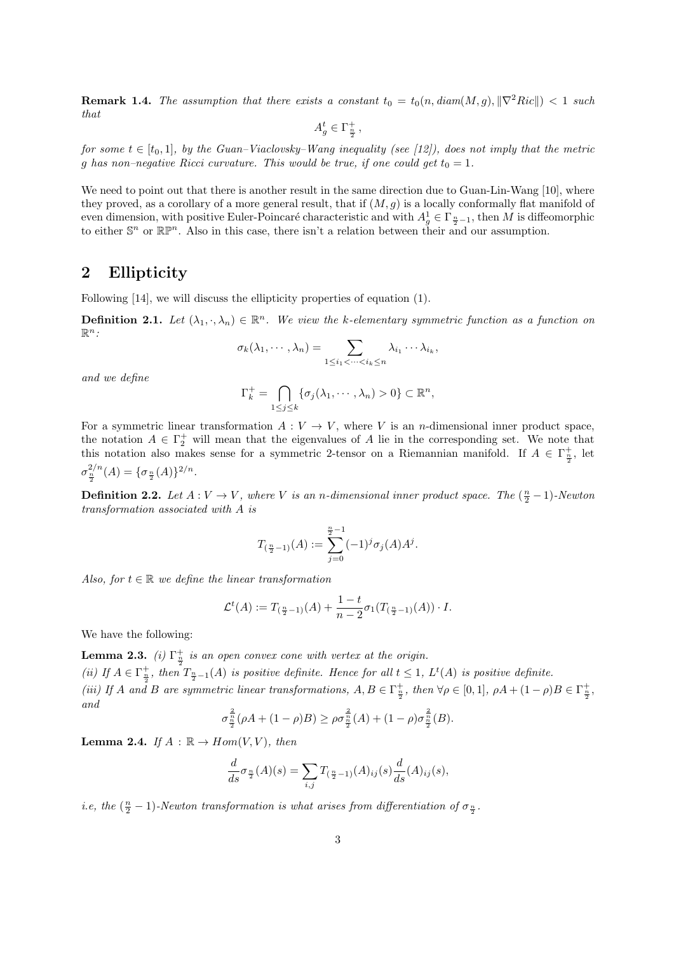**Remark 1.4.** The assumption that there exists a constant  $t_0 = t_0(n, diam(M, g), ||\nabla^2 Ric||) < 1$  such that

$$
A_g^t \in \Gamma_{\frac{n}{2}}^+ \, ,
$$

for some  $t \in [t_0, 1]$ , by the Guan–Viaclovsky–Wang inequality (see [12]), does not imply that the metric g has non–negative Ricci curvature. This would be true, if one could get  $t_0 = 1$ .

We need to point out that there is another result in the same direction due to Guan-Lin-Wang [10], where they proved, as a corollary of a more general result, that if  $(M, g)$  is a locally conformally flat manifold of even dimension, with positive Euler-Poincaré characteristic and with  $A_g^1 \in \Gamma_{\frac{n}{2}-1}$ , then M is diffeomorphic to either  $\mathbb{S}^n$  or  $\mathbb{RP}^n$ . Also in this case, there isn't a relation between their and our assumption.

### 2 Ellipticity

Following [14], we will discuss the ellipticity properties of equation (1).

**Definition 2.1.** Let  $(\lambda_1, \cdot, \lambda_n) \in \mathbb{R}^n$ . We view the k-elementary symmetric function as a function on  $\mathbb{R}^n$ :

$$
\sigma_k(\lambda_1,\cdots,\lambda_n)=\sum_{1\leq i_1<\cdots
$$

and we define

$$
\Gamma_k^+ = \bigcap_{1 \le j \le k} \{ \sigma_j(\lambda_1, \cdots, \lambda_n) > 0 \} \subset \mathbb{R}^n,
$$

For a symmetric linear transformation  $A: V \to V$ , where V is an n-dimensional inner product space, the notation  $A \in \Gamma_2^+$  will mean that the eigenvalues of A lie in the corresponding set. We note that this notation also makes sense for a symmetric 2-tensor on a Riemannian manifold. If  $A \in \Gamma_{\frac{\pi}{2}}^+$ , let  $\sigma_{\frac{n}{2}}^{2/n}(A) = {\sigma_{\frac{n}{2}}(A)}^{2/n}.$ 

**Definition 2.2.** Let  $A: V \to V$ , where V is an n-dimensional inner product space. The  $(\frac{n}{2}-1)$ -Newton transformation associated with A is

$$
T_{(\frac{n}{2}-1)}(A):=\sum_{j=0}^{\frac{n}{2}-1}(-1)^j\sigma_j(A)A^j.
$$

Also, for  $t \in \mathbb{R}$  we define the linear transformation

$$
\mathcal{L}^t(A) := T_{(\frac{n}{2}-1)}(A) + \frac{1-t}{n-2} \sigma_1(T_{(\frac{n}{2}-1)}(A)) \cdot I.
$$

We have the following:

**Lemma 2.3.** (i)  $\Gamma_{\frac{n}{2}}^{+}$  is an open convex cone with vertex at the origin. (ii) If  $A \in \Gamma_{\frac{n}{2}}^+$ , then  $T_{\frac{n}{2}-1}(A)$  is positive definite. Hence for all  $t \leq 1$ ,  $L^t(A)$  is positive definite. (iii) If A and B are symmetric linear transformations,  $A, B \in \Gamma_{\frac{n}{2}}^+$ , then  $\forall \rho \in [0,1]$ ,  $\rho A + (1-\rho)B \in \Gamma_{\frac{n}{2}}^+$ , and

$$
\sigma_{\frac{n}{2}}^{\frac{2}{n}}(\rho A + (1 - \rho)B) \geq \rho \sigma_{\frac{n}{2}}^{\frac{2}{n}}(A) + (1 - \rho) \sigma_{\frac{n}{2}}^{\frac{2}{n}}(B).
$$

**Lemma 2.4.** If  $A : \mathbb{R} \to Hom(V, V)$ , then

$$
\frac{d}{ds}\sigma_{\frac{n}{2}}(A)(s) = \sum_{i,j} T_{(\frac{n}{2}-1)}(A)_{ij}(s) \frac{d}{ds}(A)_{ij}(s),
$$

*i.e, the*  $(\frac{n}{2} - 1)$ -Newton transformation is what arises from differentiation of  $\sigma_{\frac{n}{2}}$ .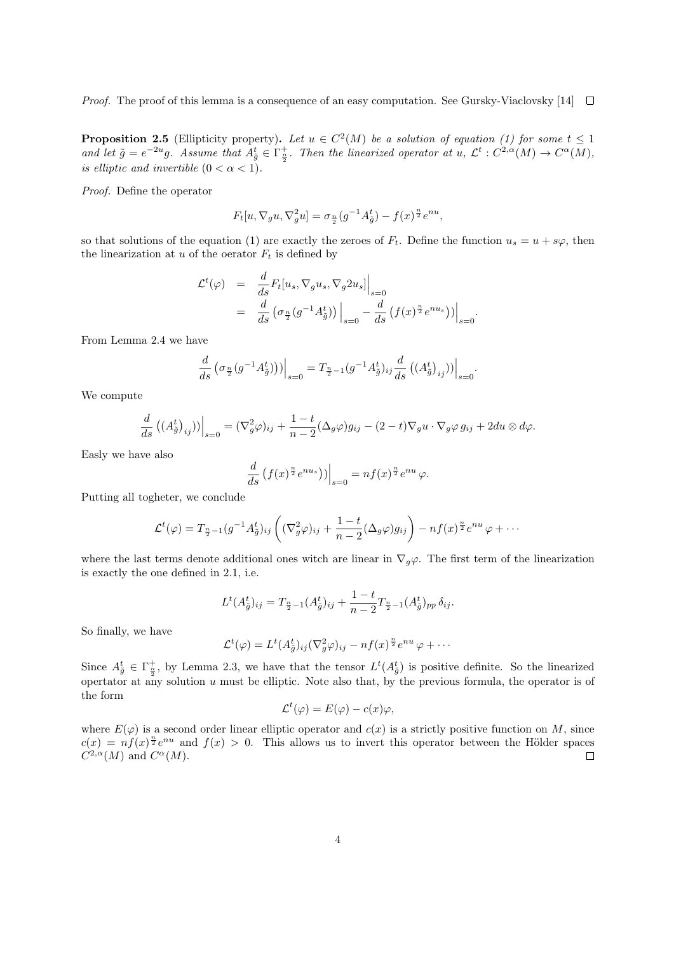*Proof.* The proof of this lemma is a consequence of an easy computation. See Gursky-Viaclovsky [14]  $\Box$ 

**Proposition 2.5** (Ellipticity property). Let  $u \in C^2(M)$  be a solution of equation (1) for some  $t \leq 1$ and let  $\tilde{g} = e^{-2u}g$ . Assume that  $A_{\tilde{g}}^t \in \Gamma_{\frac{n}{2}}^+$ . Then the linearized operator at  $u, \mathcal{L}^t : C^{2,\alpha}(M) \to C^{\alpha}(M)$ , is elliptic and invertible  $(0 < \alpha < 1)$ .

Proof. Define the operator

$$
F_t[u, \nabla_g u, \nabla_g^2 u] = \sigma_{\frac{n}{2}}(g^{-1}A_{\tilde{g}}^t) - f(x)^{\frac{n}{2}}e^{nu},
$$

so that solutions of the equation (1) are exactly the zeroes of  $F_t$ . Define the function  $u_s = u + s\varphi$ , then the linearization at  $u$  of the oerator  $F_t$  is defined by

$$
\mathcal{L}^t(\varphi) = \frac{d}{ds} F_t[u_s, \nabla_g u_s, \nabla_g 2u_s]\Big|_{s=0}
$$
  
= 
$$
\frac{d}{ds} \left( \sigma_{\frac{n}{2}}(g^{-1}A_{\tilde{g}}^t) \right)\Big|_{s=0} - \frac{d}{ds} \left( f(x)^{\frac{n}{2}} e^{nu_s} \right)\Big|_{s=0}.
$$

From Lemma 2.4 we have

$$
\frac{d}{ds} \left( \sigma_{\frac{n}{2}}(g^{-1}A_{\tilde{g}}^{t}) \right) \Big|_{s=0} = T_{\frac{n}{2}-1}(g^{-1}A_{\tilde{g}}^{t})_{ij} \frac{d}{ds} \left( (A_{\tilde{g}}^{t})_{ij} \right) \Big|_{s=0}
$$

.

We compute

$$
\frac{d}{ds}((A_{\tilde{g}}^t)_{ij}))\Big|_{s=0} = (\nabla_g^2 \varphi)_{ij} + \frac{1-t}{n-2}(\Delta_g \varphi)g_{ij} - (2-t)\nabla_g u \cdot \nabla_g \varphi g_{ij} + 2du \otimes d\varphi.
$$

Easly we have also

$$
\frac{d}{ds}\left(f(x)^{\frac{n}{2}}e^{nu_s}\right)\Big)\Big|_{s=0} = nf(x)^{\frac{n}{2}}e^{nu}\varphi.
$$

Putting all togheter, we conclude

$$
\mathcal{L}^t(\varphi) = T_{\frac{n}{2}-1}(g^{-1}A_{\tilde{g}}^t)_{ij} \left( (\nabla_g^2 \varphi)_{ij} + \frac{1-t}{n-2} (\Delta_g \varphi) g_{ij} \right) - n f(x)^{\frac{n}{2}} e^{nu} \varphi + \cdots
$$

where the last terms denote additional ones witch are linear in  $\nabla_q \varphi$ . The first term of the linearization is exactly the one defined in 2.1, i.e.

$$
L^{t}(A_{\tilde{g}}^{t})_{ij} = T_{\frac{n}{2}-1}(A_{\tilde{g}}^{t})_{ij} + \frac{1-t}{n-2}T_{\frac{n}{2}-1}(A_{\tilde{g}}^{t})_{pp}\,\delta_{ij}.
$$

So finally, we have

$$
\mathcal{L}^t(\varphi) = L^t(A_{\tilde{g}}^t)_{ij} (\nabla_g^2 \varphi)_{ij} - n f(x)^{\frac{n}{2}} e^{nu} \varphi + \cdots
$$

Since  $A_{\tilde{g}}^t \in \Gamma_{\frac{n}{2}}^+$ , by Lemma 2.3, we have that the tensor  $L^t(A_{\tilde{g}}^t)$  is positive definite. So the linearized opertator at any solution  $u$  must be elliptic. Note also that, by the previous formula, the operator is of the form

$$
\mathcal{L}^t(\varphi) = E(\varphi) - c(x)\varphi,
$$

where  $E(\varphi)$  is a second order linear elliptic operator and  $c(x)$  is a strictly positive function on M, since  $c(x) = nf(x)^{\frac{n}{2}}e^{nu}$  and  $f(x) > 0$ . This allows us to invert this operator between the Hölder spaces  $C^{2,\alpha}(M)$  and  $C^{\alpha}(M)$ .  $\Box$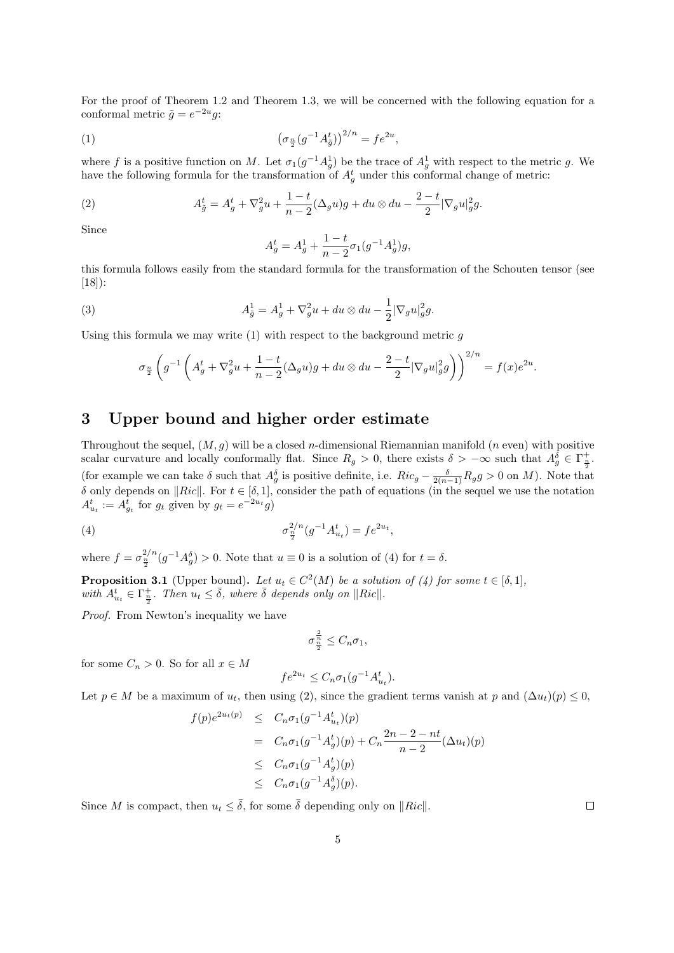For the proof of Theorem 1.2 and Theorem 1.3, we will be concerned with the following equation for a conformal metric  $\tilde{g} = e^{-2u}g$ :

(1) 
$$
\left(\sigma_{\frac{n}{2}}(g^{-1}A_{\tilde{g}}^{t})\right)^{2/n} = fe^{2u},
$$

where f is a positive function on M. Let  $\sigma_1(g^{-1}A_g^1)$  be the trace of  $A_g^1$  with respect to the metric g. We have the following formula for the transformation of  $A_g^t$  under this conformal change of metric:

(2) 
$$
A_{\tilde{g}}^t = A_g^t + \nabla_g^2 u + \frac{1-t}{n-2} (\Delta_g u) g + du \otimes du - \frac{2-t}{2} |\nabla_g u|_g^2 g.
$$

Since

$$
A_g^t = A_g^1 + \frac{1-t}{n-2} \sigma_1(g^{-1} A_g^1) g,
$$

this formula follows easily from the standard formula for the transformation of the Schouten tensor (see [18]):

(3) 
$$
A_{\tilde{g}}^1 = A_g^1 + \nabla_g^2 u + du \otimes du - \frac{1}{2} |\nabla_g u|_g^2 g.
$$

Using this formula we may write  $(1)$  with respect to the background metric q

$$
\sigma_{\frac{n}{2}}\left(g^{-1}\left(A_g^t + \nabla_g^2 u + \frac{1-t}{n-2}(\Delta_g u)g + du \otimes du - \frac{2-t}{2}|\nabla_g u|_g^2g\right)\right)^{2/n} = f(x)e^{2u}.
$$

## 3 Upper bound and higher order estimate

Throughout the sequel,  $(M, g)$  will be a closed *n*-dimensional Riemannian manifold (*n* even) with positive scalar curvature and locally conformally flat. Since  $R_g > 0$ , there exists  $\delta > -\infty$  such that  $A_g^{\delta} \in \Gamma_{\frac{n}{2}}^+$ . (for example we can take  $\delta$  such that  $A_g^{\delta}$  is positive definite, i.e.  $Ric_g - \frac{\delta}{2(n-1)}R_g g > 0$  on M). Note that  $\delta$  only depends on  $\Vert Ric \Vert$ . For  $t \in [\delta, 1]$ , consider the path of equations (in the sequel we use the notation  $A_{u_t}^t := A_{g_t}^t$  for  $g_t$  given by  $g_t = e^{-2u_t}g$ 

(4) 
$$
\sigma_{\frac{n}{2}}^{2/n}(g^{-1}A_{u_t}^t) = fe^{2u_t},
$$

where  $f = \sigma_{\frac{n}{2}}^{2/n} (g^{-1}A_g^{\delta}) > 0$ . Note that  $u \equiv 0$  is a solution of (4) for  $t = \delta$ .

**Proposition 3.1** (Upper bound). Let  $u_t \in C^2(M)$  be a solution of (4) for some  $t \in [\delta, 1]$ , with  $A_{u_t}^t \in \Gamma_{\frac{n}{2}}^+$ . Then  $u_t \leq \overline{\delta}$ , where  $\overline{\delta}$  depends only on  $||Ric||$ .

Proof. From Newton's inequality we have

$$
\sigma^{\frac{2}{n}}_{\frac{n}{2}}\leq C_n\sigma_1,
$$

for some  $C_n > 0$ . So for all  $x \in M$ 

$$
fe^{2u_t} \leq C_n \sigma_1(g^{-1}A_{u_t}^t).
$$

Let  $p \in M$  be a maximum of  $u_t$ , then using (2), since the gradient terms vanish at p and  $(\Delta u_t)(p) \leq 0$ ,

$$
f(p)e^{2u_t(p)} \leq C_n \sigma_1(g^{-1}A_{u_t}^t)(p)
$$
  
=  $C_n \sigma_1(g^{-1}A_g^t)(p) + C_n \frac{2n-2-nt}{n-2}(\Delta u_t)(p)$   
 $\leq C_n \sigma_1(g^{-1}A_g^t)(p)$   
 $\leq C_n \sigma_1(g^{-1}A_g^{\delta})(p).$ 

Since M is compact, then  $u_t \leq \overline{\delta}$ , for some  $\overline{\delta}$  depending only on  $\Vert Ric \Vert$ .

 $\Box$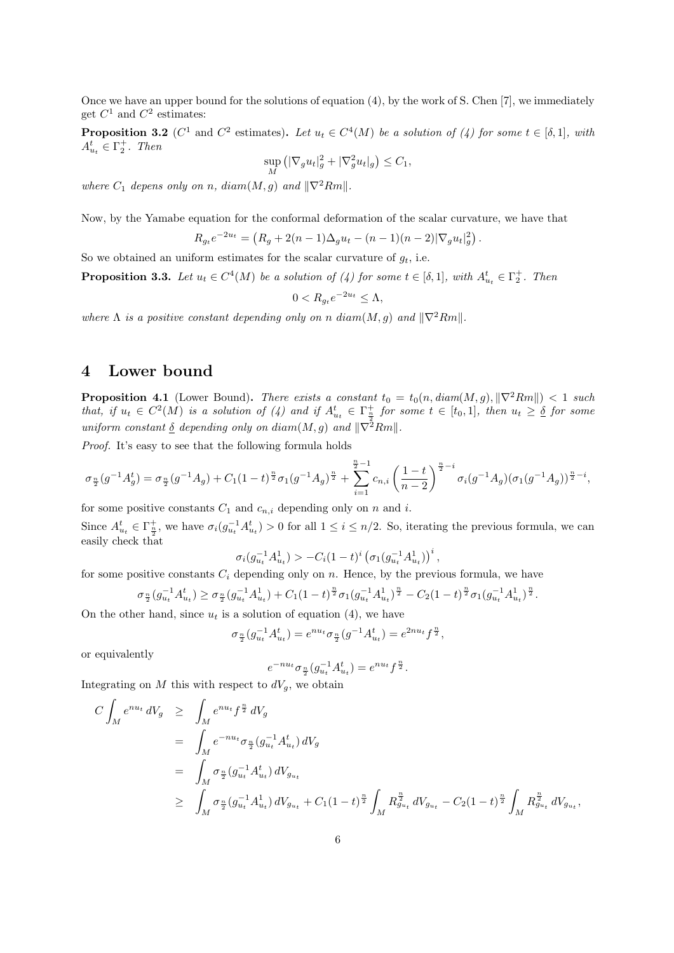Once we have an upper bound for the solutions of equation (4), by the work of S. Chen [7], we immediately get  $C^1$  and  $C^2$  estimates:

**Proposition 3.2** ( $C^1$  and  $C^2$  estimates). Let  $u_t \in C^4(M)$  be a solution of (4) for some  $t \in [\delta,1]$ , with  $A_{u_t}^t \in \Gamma_2^+$ . Then

$$
\sup_M (|\nabla_g u_t|_g^2 + |\nabla_g^2 u_t|_g) \le C_1,
$$

where  $C_1$  depens only on n, diam(M, q) and  $\|\nabla^2 Rm\|$ .

Now, by the Yamabe equation for the conformal deformation of the scalar curvature, we have that

$$
R_{g_t}e^{-2u_t} = (R_g + 2(n-1)\Delta_g u_t - (n-1)(n-2)|\nabla_g u_t|_g^2).
$$

So we obtained an uniform estimates for the scalar curvature of  $g_t$ , i.e.

**Proposition 3.3.** Let  $u_t \in C^4(M)$  be a solution of (4) for some  $t \in [\delta,1]$ , with  $A_{u_t}^t \in \Gamma_2^+$ . Then

$$
0 < R_{g_t} e^{-2u_t} \le \Lambda,
$$

where  $\Lambda$  is a positive constant depending only on n diam $(M, g)$  and  $\|\nabla^2 Rm\|$ .

#### 4 Lower bound

**Proposition 4.1** (Lower Bound). There exists a constant  $t_0 = t_0(n, diam(M, g), \|\nabla^2 Rm\|) < 1$  such that, if  $u_t \in C^2(M)$  is a solution of (4) and if  $A_{u_t}^t \in \Gamma_{\frac{n}{2}}^+$  for some  $t \in [t_0,1]$ , then  $u_t \geq \delta$  for some uniform constant  $\delta$  depending only on diam(M, g) and  $\|\nabla^2 Rm\|$ .

Proof. It's easy to see that the following formula holds

$$
\sigma_{\frac{n}{2}}(g^{-1}A_g^t) = \sigma_{\frac{n}{2}}(g^{-1}A_g) + C_1(1-t)^{\frac{n}{2}}\sigma_1(g^{-1}A_g)^{\frac{n}{2}} + \sum_{i=1}^{\frac{n}{2}-1}c_{n,i}\left(\frac{1-t}{n-2}\right)^{\frac{n}{2}-i}\sigma_i(g^{-1}A_g)(\sigma_1(g^{-1}A_g))^{\frac{n}{2}-i},
$$

for some positive constants  $C_1$  and  $c_{n,i}$  depending only on n and i.

Since  $A_{u_t}^t \in \Gamma_{\frac{n}{2}}^+$ , we have  $\sigma_i(g_{u_t}^{-1}A_{u_t}^t) > 0$  for all  $1 \leq i \leq n/2$ . So, iterating the previous formula, we can easily check that

$$
\sigma_i(g_{u_t}^{-1}A_{u_t}^1) > -C_i(1-t)^i\left(\sigma_1(g_{u_t}^{-1}A_{u_t}^1)\right)^i,
$$

for some positive constants  $C_i$  depending only on n. Hence, by the previous formula, we have

$$
\sigma_{\frac{n}{2}}(g_{u_t}^{-1}A_{u_t}^t) \ge \sigma_{\frac{n}{2}}(g_{u_t}^{-1}A_{u_t}^1) + C_1(1-t)^{\frac{n}{2}}\sigma_1(g_{u_t}^{-1}A_{u_t}^1)^{\frac{n}{2}} - C_2(1-t)^{\frac{n}{2}}\sigma_1(g_{u_t}^{-1}A_{u_t}^1)^{\frac{n}{2}}.
$$

On the other hand, since  $u_t$  is a solution of equation (4), we have

$$
\sigma_{\frac{n}{2}}(g_{u_t}^{-1}A_{u_t}^t) = e^{nu_t} \sigma_{\frac{n}{2}}(g^{-1}A_{u_t}^t) = e^{2nu_t} f^{\frac{n}{2}},
$$

or equivalently

$$
e^{-nu_t}\sigma_{\frac{n}{2}}(g_{u_t}^{-1}A_{u_t}^t) = e^{nu_t}f^{\frac{n}{2}}.
$$

Integrating on M this with respect to  $dV_q$ , we obtain

$$
C \int_{M} e^{nu_{t}} dV_{g} \geq \int_{M} e^{nu_{t}} f^{\frac{n}{2}} dV_{g}
$$
  
= 
$$
\int_{M} e^{-nu_{t}} \sigma_{\frac{n}{2}}(g_{u_{t}}^{-1} A_{u_{t}}^{t}) dV_{g}
$$
  
= 
$$
\int_{M} \sigma_{\frac{n}{2}}(g_{u_{t}}^{-1} A_{u_{t}}^{t}) dV_{g_{u_{t}}}
$$
  

$$
\geq \int_{M} \sigma_{\frac{n}{2}}(g_{u_{t}}^{-1} A_{u_{t}}^{1}) dV_{g_{u_{t}}} + C_{1}(1-t)^{\frac{n}{2}} \int_{M} R_{g_{u_{t}}}^{\frac{n}{2}} dV_{g_{u_{t}}} - C_{2}(1-t)^{\frac{n}{2}} \int_{M} R_{g_{u_{t}}}^{\frac{n}{2}} dV_{g_{u_{t}}},
$$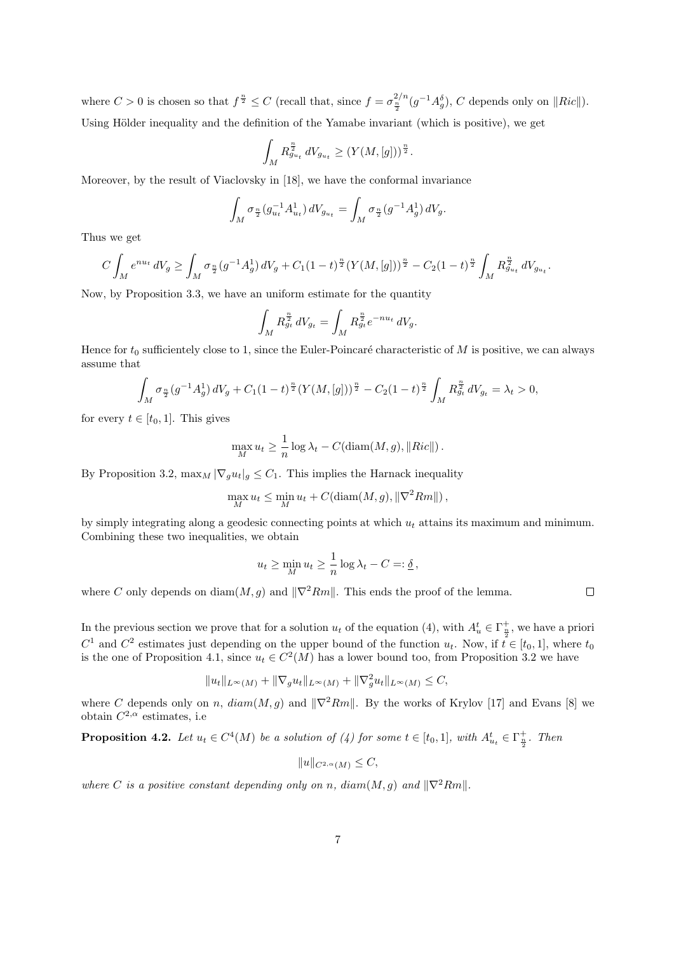where  $C > 0$  is chosen so that  $f^{\frac{n}{2}} \leq C$  (recall that, since  $f = \sigma_{\frac{n}{2}}^{2/n} (g^{-1}A_g^{\delta})$ , C depends only on  $||Ric||$ ). Using Hölder inequality and the definition of the Yamabe invariant (which is positive), we get

$$
\int_M R_{g_{u_t}}^{\frac{n}{2}} dV_{g_{u_t}} \ge (Y(M,[g]))^{\frac{n}{2}}.
$$

Moreover, by the result of Viaclovsky in [18], we have the conformal invariance

$$
\int_M \sigma_{\frac{n}{2}}(g_{u_t}^{-1}A_{u_t}^1) dV_{g_{u_t}} = \int_M \sigma_{\frac{n}{2}}(g^{-1}A_g^1) dV_g.
$$

Thus we get

$$
C\int_M e^{nu_t} dV_g \ge \int_M \sigma_{\frac{n}{2}}(g^{-1}A_g^1) dV_g + C_1(1-t)^{\frac{n}{2}}(Y(M,[g]))^{\frac{n}{2}} - C_2(1-t)^{\frac{n}{2}}\int_M R_{g_{u_t}}^{\frac{n}{2}} dV_{g_{u_t}}.
$$

Now, by Proposition 3.3, we have an uniform estimate for the quantity

$$
\int_M R_{g_t}^{\frac{n}{2}} dV_{g_t} = \int_M R_{g_t}^{\frac{n}{2}} e^{-nu_t} dV_g.
$$

Hence for  $t_0$  sufficientely close to 1, since the Euler-Poincaré characteristic of M is positive, we can always assume that

$$
\int_M \sigma_{\frac{n}{2}}(g^{-1}A_g^1) dV_g + C_1 (1-t)^{\frac{n}{2}} (Y(M,[g]))^{\frac{n}{2}} - C_2 (1-t)^{\frac{n}{2}} \int_M R_{g_t}^{\frac{n}{2}} dV_{g_t} = \lambda_t > 0,
$$

for every  $t \in [t_0, 1]$ . This gives

$$
\max_{M} u_t \ge \frac{1}{n} \log \lambda_t - C(\text{diam}(M, g), ||Ric||).
$$

By Proposition 3.2,  $\max_M |\nabla_g u_t|_g \leq C_1$ . This implies the Harnack inequality

$$
\max_{M} u_t \leq \min_{M} u_t + C(\text{diam}(M, g), \|\nabla^2 Rm\|),
$$

by simply integrating along a geodesic connecting points at which  $u_t$  attains its maximum and minimum. Combining these two inequalities, we obtain

$$
u_t \ge \min_M u_t \ge \frac{1}{n} \log \lambda_t - C =: \underline{\delta}\,,
$$

where C only depends on diam(M, g) and  $\|\nabla^2 Rm\|$ . This ends the proof of the lemma.

In the previous section we prove that for a solution  $u_t$  of the equation (4), with  $A_u^t \in \Gamma_{\frac{n}{2}}^+$ , we have a priori  $C^1$  and  $C^2$  estimates just depending on the upper bound of the function  $u_t$ . Now, if  $\overline{t} \in [t_0, 1]$ , where  $t_0$ is the one of Proposition 4.1, since  $u_t \in C^2(M)$  has a lower bound too, from Proposition 3.2 we have

$$
||u_t||_{L^{\infty}(M)} + ||\nabla_g u_t||_{L^{\infty}(M)} + ||\nabla_g^2 u_t||_{L^{\infty}(M)} \leq C,
$$

where C depends only on n,  $diam(M, g)$  and  $\|\nabla^2 Rm\|$ . By the works of Krylov [17] and Evans [8] we obtain  $C^{2,\alpha}$  estimates, i.e

**Proposition 4.2.** Let  $u_t \in C^4(M)$  be a solution of (4) for some  $t \in [t_0, 1]$ , with  $A_{u_t}^t \in \Gamma_{\frac{n}{2}}^+$ . Then

 $||u||_{C^{2,\alpha}(M)} < C,$ 

where C is a positive constant depending only on n, diam(M, q) and  $\|\nabla^2 Rm\|$ .

 $\Box$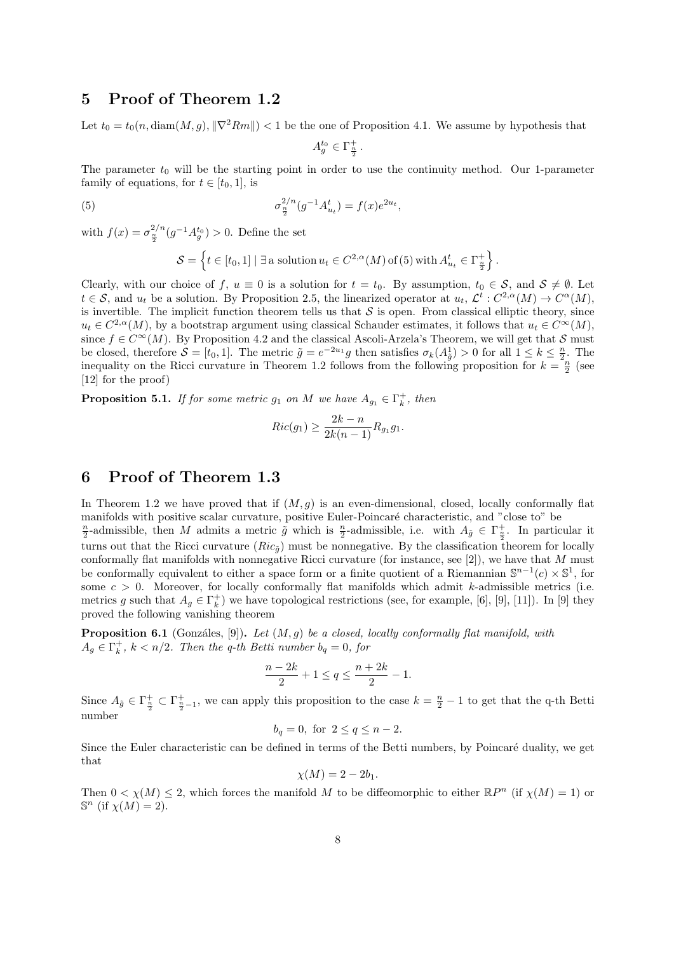#### 5 Proof of Theorem 1.2

Let  $t_0 = t_0(n, \text{diam}(M, q), ||\nabla^2 Rm||) < 1$  be the one of Proposition 4.1. We assume by hypothesis that

$$
A_g^{t_0} \in \Gamma_{\frac{n}{2}}^+.
$$

The parameter  $t_0$  will be the starting point in order to use the continuity method. Our 1-parameter family of equations, for  $t \in [t_0, 1]$ , is

(5) 
$$
\sigma_{\frac{n}{2}}^{2/n}(g^{-1}A_{u_t}^t) = f(x)e^{2u_t},
$$

with  $f(x) = \sigma_{\frac{n}{2}}^{2/n} (g^{-1} A_g^{t_0}) > 0$ . Define the set

$$
\mathcal{S} = \left\{ t \in [t_0, 1] \mid \exists \text{ a solution } u_t \in C^{2,\alpha}(M) \text{ of (5) with } A^t_{u_t} \in \Gamma^+_{\frac{n}{2}} \right\}.
$$

Clearly, with our choice of f,  $u \equiv 0$  is a solution for  $t = t_0$ . By assumption,  $t_0 \in S$ , and  $S \neq \emptyset$ . Let  $t \in \mathcal{S}$ , and  $u_t$  be a solution. By Proposition 2.5, the linearized operator at  $u_t, \mathcal{L}^t : C^{2,\alpha}(M) \to C^{\alpha}(M)$ , is invertible. The implicit function theorem tells us that  $S$  is open. From classical elliptic theory, since  $u_t \in C^{2,\alpha}(M)$ , by a bootstrap argument using classical Schauder estimates, it follows that  $u_t \in C^{\infty}(M)$ , since  $f \in C^{\infty}(M)$ . By Proposition 4.2 and the classical Ascoli-Arzela's Theorem, we will get that S must be closed, therefore  $S = [t_0, 1]$ . The metric  $\tilde{g} = e^{-2u_1}g$  then satisfies  $\sigma_k(A_{\tilde{g}}^1) > 0$  for all  $1 \leq k \leq \frac{n}{2}$ . The inequality on the Ricci curvature in Theorem 1.2 follows from the following proposition for  $k = \frac{n}{2}$  (see [12] for the proof)

**Proposition 5.1.** If for some metric  $g_1$  on M we have  $A_{g_1} \in \Gamma_k^+$ , then

$$
Ric(g_1) \ge \frac{2k - n}{2k(n-1)} R_{g_1} g_1.
$$

# 6 Proof of Theorem 1.3

In Theorem 1.2 we have proved that if  $(M, g)$  is an even-dimensional, closed, locally conformally flat manifolds with positive scalar curvature, positive Euler-Poincaré characteristic, and "close to" be  $\frac{n}{2}$ -admissible, then M admits a metric  $\tilde{g}$  which is  $\frac{n}{2}$ -admissible, i.e. with  $A_{\tilde{g}} \in \Gamma_{\frac{n}{2}}^+$ . In particular it turns out that the Ricci curvature  $(Ric_{\tilde{q}})$  must be nonnegative. By the classification theorem for locally conformally flat manifolds with nonnegative Ricci curvature (for instance, see  $[2]$ ), we have that M must be conformally equivalent to either a space form or a finite quotient of a Riemannian  $\mathbb{S}^{n-1}(c) \times \mathbb{S}^1$ , for some  $c > 0$ . Moreover, for locally conformally flat manifolds which admit k-admissible metrics (i.e. metrics g such that  $A_g \in \Gamma_k^+$ ) we have topological restrictions (see, for example, [6], [9], [11]). In [9] they proved the following vanishing theorem

**Proposition 6.1** (Gonzáles, [9]). Let  $(M, g)$  be a closed, locally conformally flat manifold, with  $A_g \in \Gamma_k^+$ ,  $k < n/2$ . Then the q-th Betti number  $b_q = 0$ , for

$$
\frac{n-2k}{2} + 1 \le q \le \frac{n+2k}{2} - 1.
$$

Since  $A_{\tilde{g}} \in \Gamma_{\frac{n}{2}-1}^+$ , we can apply this proposition to the case  $k = \frac{n}{2} - 1$  to get that the q-th Betti number

$$
b_q = 0
$$
, for  $2 \le q \le n - 2$ .

Since the Euler characteristic can be defined in terms of the Betti numbers, by Poincaré duality, we get that

$$
\chi(M) = 2 - 2b_1.
$$

Then  $0 < \chi(M) \leq 2$ , which forces the manifold M to be diffeomorphic to either  $\mathbb{R}P^n$  (if  $\chi(M) = 1$ ) or  $\mathbb{S}^n$  (if  $\chi(M) = 2$ ).